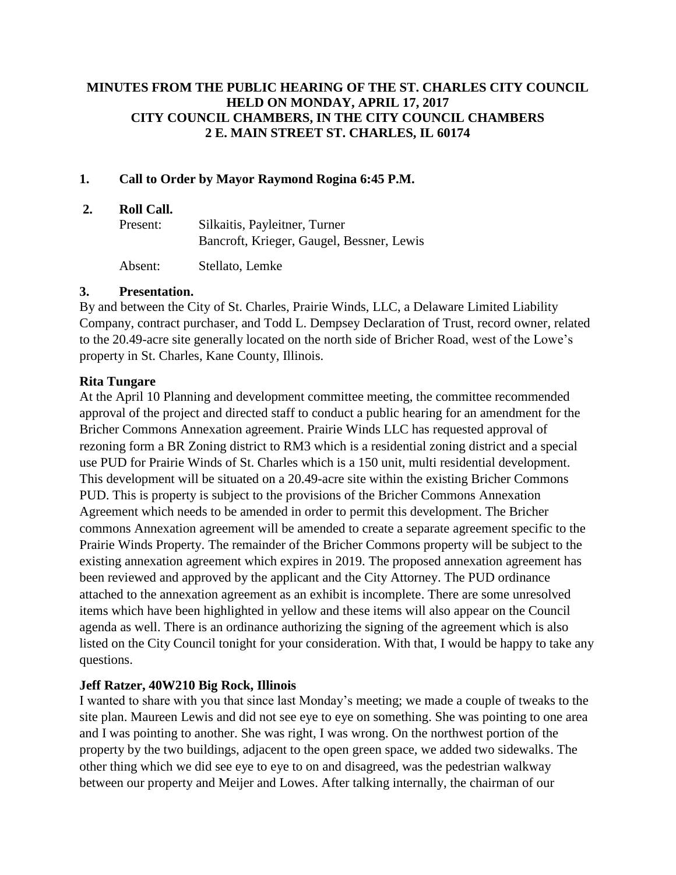# **MINUTES FROM THE PUBLIC HEARING OF THE ST. CHARLES CITY COUNCIL HELD ON MONDAY, APRIL 17, 2017 CITY COUNCIL CHAMBERS, IN THE CITY COUNCIL CHAMBERS 2 E. MAIN STREET ST. CHARLES, IL 60174**

## **1. Call to Order by Mayor Raymond Rogina 6:45 P.M.**

#### **2. Roll Call.**

| Present: | Silkaitis, Payleitner, Turner             |
|----------|-------------------------------------------|
|          | Bancroft, Krieger, Gaugel, Bessner, Lewis |

Absent: Stellato, Lemke

## **3. Presentation.**

By and between the City of St. Charles, Prairie Winds, LLC, a Delaware Limited Liability Company, contract purchaser, and Todd L. Dempsey Declaration of Trust, record owner, related to the 20.49-acre site generally located on the north side of Bricher Road, west of the Lowe's property in St. Charles, Kane County, Illinois.

## **Rita Tungare**

At the April 10 Planning and development committee meeting, the committee recommended approval of the project and directed staff to conduct a public hearing for an amendment for the Bricher Commons Annexation agreement. Prairie Winds LLC has requested approval of rezoning form a BR Zoning district to RM3 which is a residential zoning district and a special use PUD for Prairie Winds of St. Charles which is a 150 unit, multi residential development. This development will be situated on a 20.49-acre site within the existing Bricher Commons PUD. This is property is subject to the provisions of the Bricher Commons Annexation Agreement which needs to be amended in order to permit this development. The Bricher commons Annexation agreement will be amended to create a separate agreement specific to the Prairie Winds Property. The remainder of the Bricher Commons property will be subject to the existing annexation agreement which expires in 2019. The proposed annexation agreement has been reviewed and approved by the applicant and the City Attorney. The PUD ordinance attached to the annexation agreement as an exhibit is incomplete. There are some unresolved items which have been highlighted in yellow and these items will also appear on the Council agenda as well. There is an ordinance authorizing the signing of the agreement which is also listed on the City Council tonight for your consideration. With that, I would be happy to take any questions.

# **Jeff Ratzer, 40W210 Big Rock, Illinois**

I wanted to share with you that since last Monday's meeting; we made a couple of tweaks to the site plan. Maureen Lewis and did not see eye to eye on something. She was pointing to one area and I was pointing to another. She was right, I was wrong. On the northwest portion of the property by the two buildings, adjacent to the open green space, we added two sidewalks. The other thing which we did see eye to eye to on and disagreed, was the pedestrian walkway between our property and Meijer and Lowes. After talking internally, the chairman of our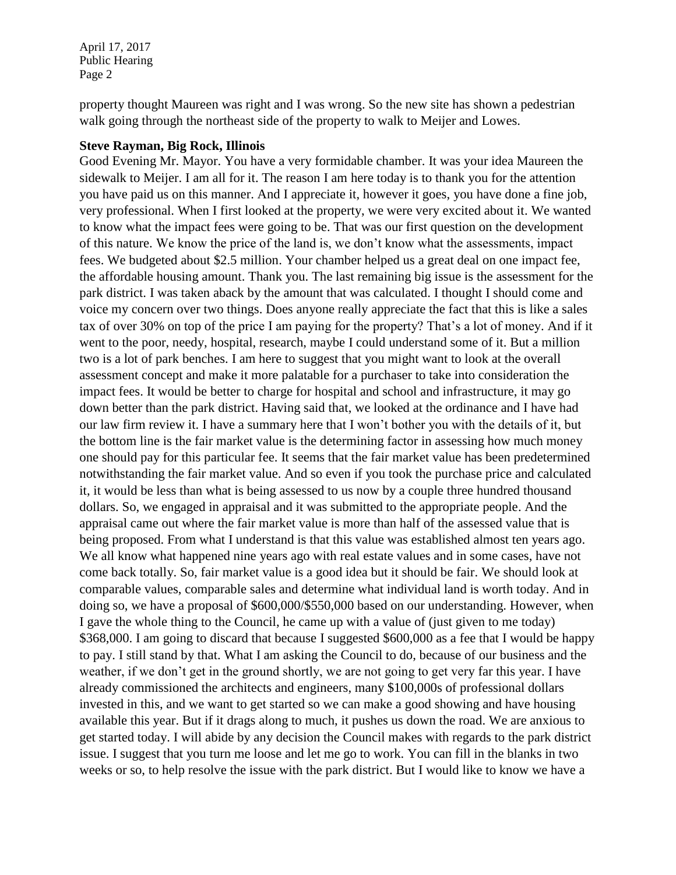property thought Maureen was right and I was wrong. So the new site has shown a pedestrian walk going through the northeast side of the property to walk to Meijer and Lowes.

#### **Steve Rayman, Big Rock, Illinois**

Good Evening Mr. Mayor. You have a very formidable chamber. It was your idea Maureen the sidewalk to Meijer. I am all for it. The reason I am here today is to thank you for the attention you have paid us on this manner. And I appreciate it, however it goes, you have done a fine job, very professional. When I first looked at the property, we were very excited about it. We wanted to know what the impact fees were going to be. That was our first question on the development of this nature. We know the price of the land is, we don't know what the assessments, impact fees. We budgeted about \$2.5 million. Your chamber helped us a great deal on one impact fee, the affordable housing amount. Thank you. The last remaining big issue is the assessment for the park district. I was taken aback by the amount that was calculated. I thought I should come and voice my concern over two things. Does anyone really appreciate the fact that this is like a sales tax of over 30% on top of the price I am paying for the property? That's a lot of money. And if it went to the poor, needy, hospital, research, maybe I could understand some of it. But a million two is a lot of park benches. I am here to suggest that you might want to look at the overall assessment concept and make it more palatable for a purchaser to take into consideration the impact fees. It would be better to charge for hospital and school and infrastructure, it may go down better than the park district. Having said that, we looked at the ordinance and I have had our law firm review it. I have a summary here that I won't bother you with the details of it, but the bottom line is the fair market value is the determining factor in assessing how much money one should pay for this particular fee. It seems that the fair market value has been predetermined notwithstanding the fair market value. And so even if you took the purchase price and calculated it, it would be less than what is being assessed to us now by a couple three hundred thousand dollars. So, we engaged in appraisal and it was submitted to the appropriate people. And the appraisal came out where the fair market value is more than half of the assessed value that is being proposed. From what I understand is that this value was established almost ten years ago. We all know what happened nine years ago with real estate values and in some cases, have not come back totally. So, fair market value is a good idea but it should be fair. We should look at comparable values, comparable sales and determine what individual land is worth today. And in doing so, we have a proposal of \$600,000/\$550,000 based on our understanding. However, when I gave the whole thing to the Council, he came up with a value of (just given to me today) \$368,000. I am going to discard that because I suggested \$600,000 as a fee that I would be happy to pay. I still stand by that. What I am asking the Council to do, because of our business and the weather, if we don't get in the ground shortly, we are not going to get very far this year. I have already commissioned the architects and engineers, many \$100,000s of professional dollars invested in this, and we want to get started so we can make a good showing and have housing available this year. But if it drags along to much, it pushes us down the road. We are anxious to get started today. I will abide by any decision the Council makes with regards to the park district issue. I suggest that you turn me loose and let me go to work. You can fill in the blanks in two weeks or so, to help resolve the issue with the park district. But I would like to know we have a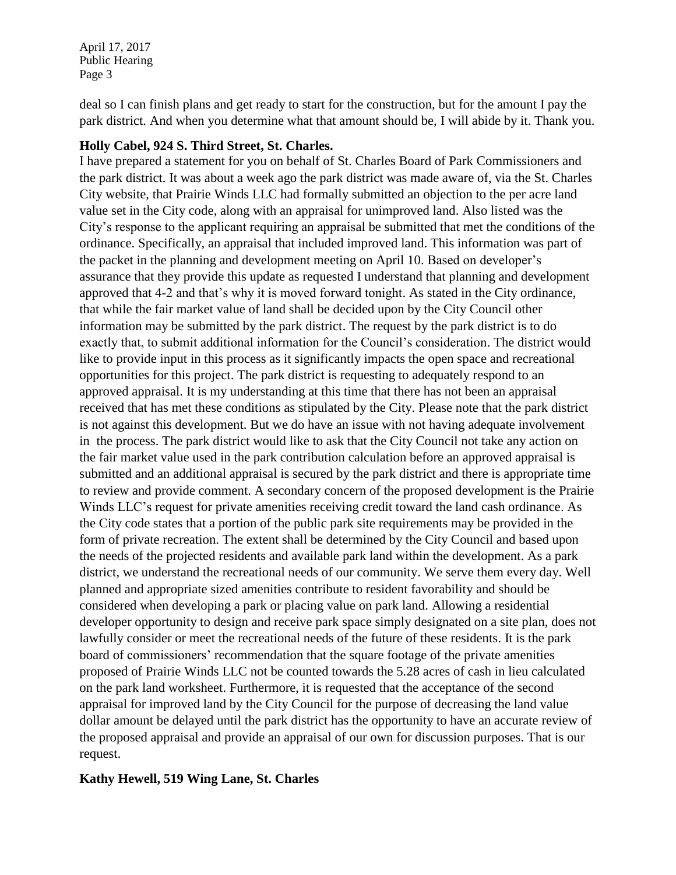deal so I can finish plans and get ready to start for the construction, but for the amount I pay the park district. And when you determine what that amount should be, I will abide by it. Thank you.

#### **Holly Cabel, 924 S. Third Street, St. Charles.**

I have prepared a statement for you on behalf of St. Charles Board of Park Commissioners and the park district. It was about a week ago the park district was made aware of, via the St. Charles City website, that Prairie Winds LLC had formally submitted an objection to the per acre land value set in the City code, along with an appraisal for unimproved land. Also listed was the City's response to the applicant requiring an appraisal be submitted that met the conditions of the ordinance. Specifically, an appraisal that included improved land. This information was part of the packet in the planning and development meeting on April 10. Based on developer's assurance that they provide this update as requested I understand that planning and development approved that 4-2 and that's why it is moved forward tonight. As stated in the City ordinance, that while the fair market value of land shall be decided upon by the City Council other information may be submitted by the park district. The request by the park district is to do exactly that, to submit additional information for the Council's consideration. The district would like to provide input in this process as it significantly impacts the open space and recreational opportunities for this project. The park district is requesting to adequately respond to an approved appraisal. It is my understanding at this time that there has not been an appraisal received that has met these conditions as stipulated by the City. Please note that the park district is not against this development. But we do have an issue with not having adequate involvement in the process. The park district would like to ask that the City Council not take any action on the fair market value used in the park contribution calculation before an approved appraisal is submitted and an additional appraisal is secured by the park district and there is appropriate time to review and provide comment. A secondary concern of the proposed development is the Prairie Winds LLC's request for private amenities receiving credit toward the land cash ordinance. As the City code states that a portion of the public park site requirements may be provided in the form of private recreation. The extent shall be determined by the City Council and based upon the needs of the projected residents and available park land within the development. As a park district, we understand the recreational needs of our community. We serve them every day. Well planned and appropriate sized amenities contribute to resident favorability and should be considered when developing a park or placing value on park land. Allowing a residential developer opportunity to design and receive park space simply designated on a site plan, does not lawfully consider or meet the recreational needs of the future of these residents. It is the park board of commissioners' recommendation that the square footage of the private amenities proposed of Prairie Winds LLC not be counted towards the 5.28 acres of cash in lieu calculated on the park land worksheet. Furthermore, it is requested that the acceptance of the second appraisal for improved land by the City Council for the purpose of decreasing the land value dollar amount be delayed until the park district has the opportunity to have an accurate review of the proposed appraisal and provide an appraisal of our own for discussion purposes. That is our request.

### **Kathy Hewell, 519 Wing Lane, St. Charles**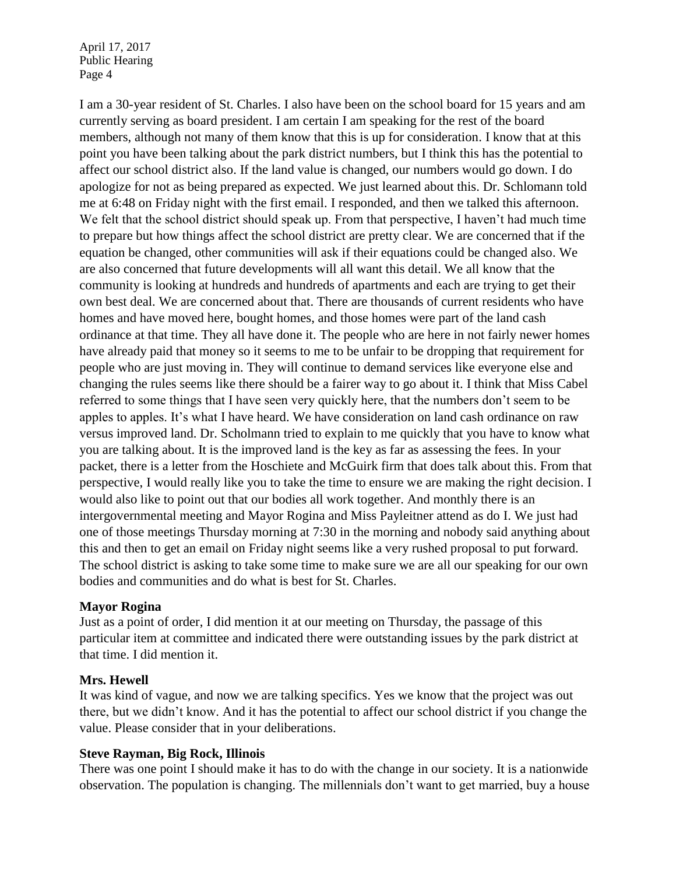I am a 30-year resident of St. Charles. I also have been on the school board for 15 years and am currently serving as board president. I am certain I am speaking for the rest of the board members, although not many of them know that this is up for consideration. I know that at this point you have been talking about the park district numbers, but I think this has the potential to affect our school district also. If the land value is changed, our numbers would go down. I do apologize for not as being prepared as expected. We just learned about this. Dr. Schlomann told me at 6:48 on Friday night with the first email. I responded, and then we talked this afternoon. We felt that the school district should speak up. From that perspective, I haven't had much time to prepare but how things affect the school district are pretty clear. We are concerned that if the equation be changed, other communities will ask if their equations could be changed also. We are also concerned that future developments will all want this detail. We all know that the community is looking at hundreds and hundreds of apartments and each are trying to get their own best deal. We are concerned about that. There are thousands of current residents who have homes and have moved here, bought homes, and those homes were part of the land cash ordinance at that time. They all have done it. The people who are here in not fairly newer homes have already paid that money so it seems to me to be unfair to be dropping that requirement for people who are just moving in. They will continue to demand services like everyone else and changing the rules seems like there should be a fairer way to go about it. I think that Miss Cabel referred to some things that I have seen very quickly here, that the numbers don't seem to be apples to apples. It's what I have heard. We have consideration on land cash ordinance on raw versus improved land. Dr. Scholmann tried to explain to me quickly that you have to know what you are talking about. It is the improved land is the key as far as assessing the fees. In your packet, there is a letter from the Hoschiete and McGuirk firm that does talk about this. From that perspective, I would really like you to take the time to ensure we are making the right decision. I would also like to point out that our bodies all work together. And monthly there is an intergovernmental meeting and Mayor Rogina and Miss Payleitner attend as do I. We just had one of those meetings Thursday morning at 7:30 in the morning and nobody said anything about this and then to get an email on Friday night seems like a very rushed proposal to put forward. The school district is asking to take some time to make sure we are all our speaking for our own bodies and communities and do what is best for St. Charles.

### **Mayor Rogina**

Just as a point of order, I did mention it at our meeting on Thursday, the passage of this particular item at committee and indicated there were outstanding issues by the park district at that time. I did mention it.

### **Mrs. Hewell**

It was kind of vague, and now we are talking specifics. Yes we know that the project was out there, but we didn't know. And it has the potential to affect our school district if you change the value. Please consider that in your deliberations.

#### **Steve Rayman, Big Rock, Illinois**

There was one point I should make it has to do with the change in our society. It is a nationwide observation. The population is changing. The millennials don't want to get married, buy a house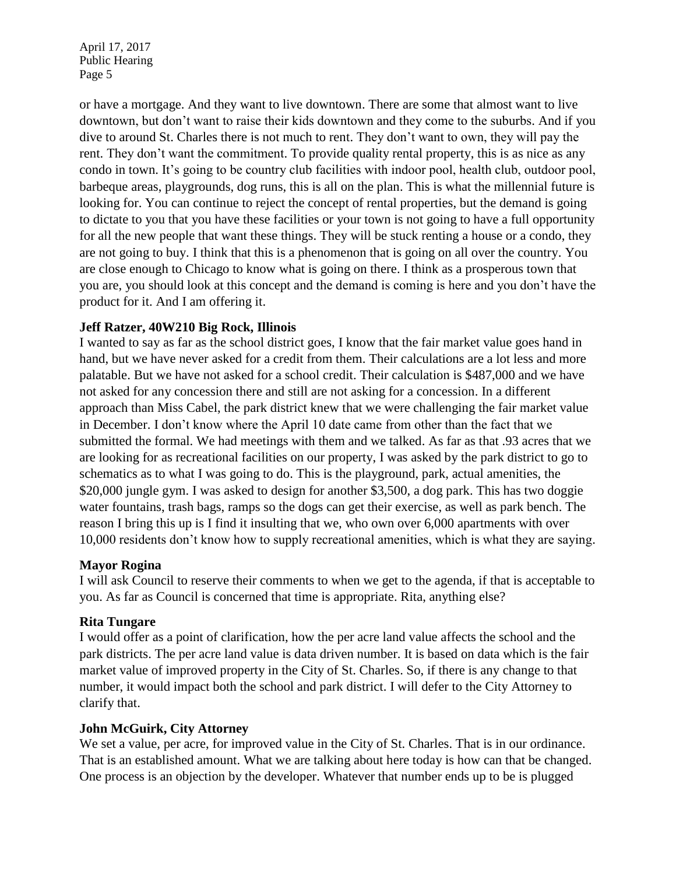or have a mortgage. And they want to live downtown. There are some that almost want to live downtown, but don't want to raise their kids downtown and they come to the suburbs. And if you dive to around St. Charles there is not much to rent. They don't want to own, they will pay the rent. They don't want the commitment. To provide quality rental property, this is as nice as any condo in town. It's going to be country club facilities with indoor pool, health club, outdoor pool, barbeque areas, playgrounds, dog runs, this is all on the plan. This is what the millennial future is looking for. You can continue to reject the concept of rental properties, but the demand is going to dictate to you that you have these facilities or your town is not going to have a full opportunity for all the new people that want these things. They will be stuck renting a house or a condo, they are not going to buy. I think that this is a phenomenon that is going on all over the country. You are close enough to Chicago to know what is going on there. I think as a prosperous town that you are, you should look at this concept and the demand is coming is here and you don't have the product for it. And I am offering it.

## **Jeff Ratzer, 40W210 Big Rock, Illinois**

I wanted to say as far as the school district goes, I know that the fair market value goes hand in hand, but we have never asked for a credit from them. Their calculations are a lot less and more palatable. But we have not asked for a school credit. Their calculation is \$487,000 and we have not asked for any concession there and still are not asking for a concession. In a different approach than Miss Cabel, the park district knew that we were challenging the fair market value in December. I don't know where the April 10 date came from other than the fact that we submitted the formal. We had meetings with them and we talked. As far as that .93 acres that we are looking for as recreational facilities on our property, I was asked by the park district to go to schematics as to what I was going to do. This is the playground, park, actual amenities, the \$20,000 jungle gym. I was asked to design for another \$3,500, a dog park. This has two doggie water fountains, trash bags, ramps so the dogs can get their exercise, as well as park bench. The reason I bring this up is I find it insulting that we, who own over 6,000 apartments with over 10,000 residents don't know how to supply recreational amenities, which is what they are saying.

## **Mayor Rogina**

I will ask Council to reserve their comments to when we get to the agenda, if that is acceptable to you. As far as Council is concerned that time is appropriate. Rita, anything else?

### **Rita Tungare**

I would offer as a point of clarification, how the per acre land value affects the school and the park districts. The per acre land value is data driven number. It is based on data which is the fair market value of improved property in the City of St. Charles. So, if there is any change to that number, it would impact both the school and park district. I will defer to the City Attorney to clarify that.

### **John McGuirk, City Attorney**

We set a value, per acre, for improved value in the City of St. Charles. That is in our ordinance. That is an established amount. What we are talking about here today is how can that be changed. One process is an objection by the developer. Whatever that number ends up to be is plugged